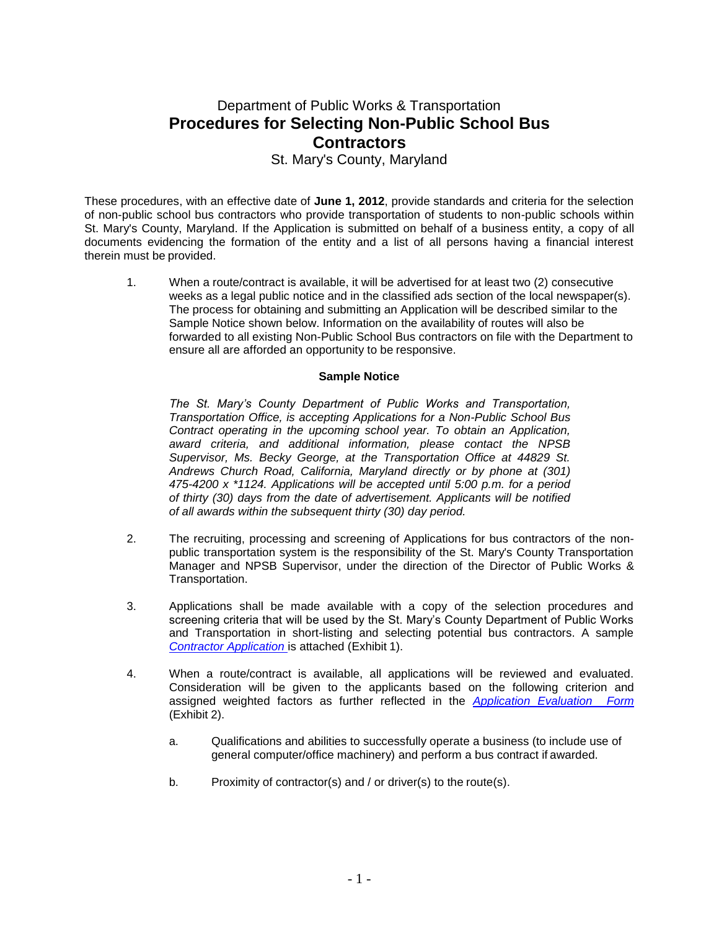## Department of Public Works & Transportation **Procedures for Selecting Non-Public School Bus Contractors**

St. Mary's County, Maryland

These procedures, with an effective date of **June 1, 2012**, provide standards and criteria for the selection of non-public school bus contractors who provide transportation of students to non-public schools within St. Mary's County, Maryland. If the Application is submitted on behalf of a business entity, a copy of all documents evidencing the formation of the entity and a list of all persons having a financial interest therein must be provided.

1. When a route/contract is available, it will be advertised for at least two (2) consecutive weeks as a legal public notice and in the classified ads section of the local newspaper(s). The process for obtaining and submitting an Application will be described similar to the Sample Notice shown below. Information on the availability of routes will also be forwarded to all existing Non-Public School Bus contractors on file with the Department to ensure all are afforded an opportunity to be responsive.

## **Sample Notice**

*The St. Mary's County Department of Public Works and Transportation, Transportation Office, is accepting Applications for a Non-Public School Bus Contract operating in the upcoming school year. To obtain an Application, award criteria, and additional information, please contact the NPSB Supervisor, Ms. Becky George, at the Transportation Office at 44829 St. Andrews Church Road, California, Maryland directly or by phone at (301) 475-4200 x \*1124. Applications will be accepted until 5:00 p.m. for a period of thirty (30) days from the date of advertisement. Applicants will be notified of all awards within the subsequent thirty (30) day period.*

- 2. The recruiting, processing and screening of Applications for bus contractors of the nonpublic transportation system is the responsibility of the St. Mary's County Transportation Manager and NPSB Supervisor, under the direction of the Director of Public Works & Transportation.
- 3. Applications shall be made available with a copy of the selection procedures and screening criteria that will be used by the St. Mary's County Department of Public Works and Transportation in short-listing and selecting potential bus contractors. A sample *[Contractor Application](http://www.stmarysmd.com/docs/ContratorApp2012.pdf)* is attached (Exhibit 1).
- 4. When a route/contract is available, all applications will be reviewed and evaluated. Consideration will be given to the applicants based on the following criterion and assigned weighted factors as further reflected in the *[Application Evaluation Form](http://www.stmarysmd.com/docs/ContractorSCORINGEVALFORM.pdf)*  (Exhibit 2).
	- a. Qualifications and abilities to successfully operate a business (to include use of general computer/office machinery) and perform a bus contract if awarded.
	- b. Proximity of contractor(s) and / or driver(s) to the route(s).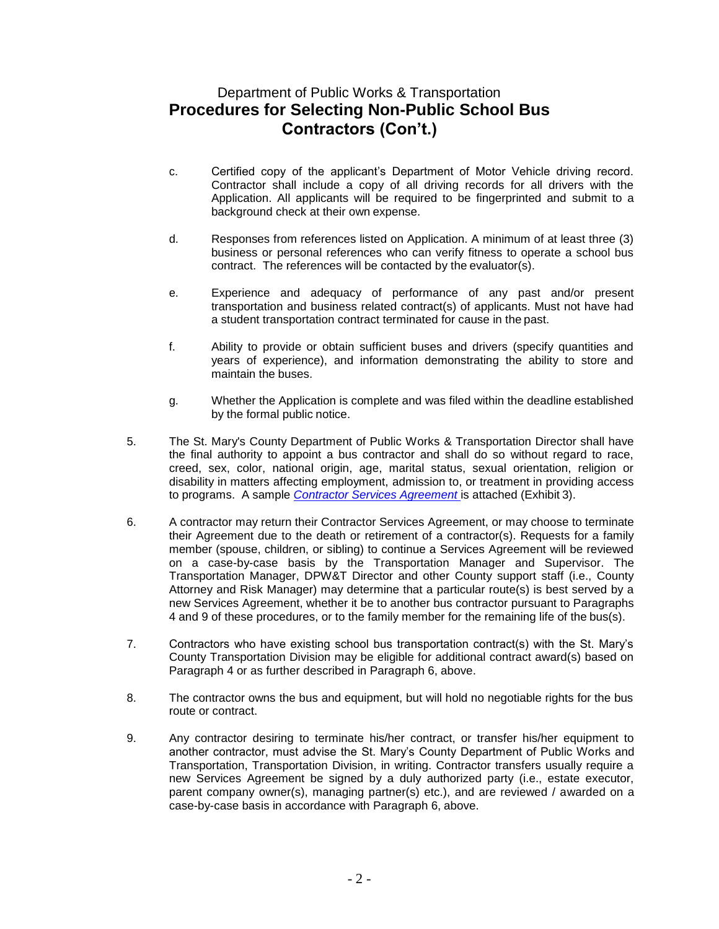## Department of Public Works & Transportation **Procedures for Selecting Non-Public School Bus Contractors (Con't.)**

- c. Certified copy of the applicant's Department of Motor Vehicle driving record. Contractor shall include a copy of all driving records for all drivers with the Application. All applicants will be required to be fingerprinted and submit to a background check at their own expense.
- d. Responses from references listed on Application. A minimum of at least three (3) business or personal references who can verify fitness to operate a school bus contract. The references will be contacted by the evaluator(s).
- e. Experience and adequacy of performance of any past and/or present transportation and business related contract(s) of applicants. Must not have had a student transportation contract terminated for cause in the past.
- f. Ability to provide or obtain sufficient buses and drivers (specify quantities and years of experience), and information demonstrating the ability to store and maintain the buses.
- g. Whether the Application is complete and was filed within the deadline established by the formal public notice.
- 5. The St. Mary's County Department of Public Works & Transportation Director shall have the final authority to appoint a bus contractor and shall do so without regard to race, creed, sex, color, national origin, age, marital status, sexual orientation, religion or disability in matters affecting employment, admission to, or treatment in providing access to programs. A sample *[Contractor Services Agreement](http://www.co.saint-marys.md.us/docs/SAMPLESERVICESAGREEMENT2011-12.pdf)* is attached (Exhibit 3).
- 6. A contractor may return their Contractor Services Agreement, or may choose to terminate their Agreement due to the death or retirement of a contractor(s). Requests for a family member (spouse, children, or sibling) to continue a Services Agreement will be reviewed on a case-by-case basis by the Transportation Manager and Supervisor. The Transportation Manager, DPW&T Director and other County support staff (i.e., County Attorney and Risk Manager) may determine that a particular route(s) is best served by a new Services Agreement, whether it be to another bus contractor pursuant to Paragraphs 4 and 9 of these procedures, or to the family member for the remaining life of the bus(s).
- 7. Contractors who have existing school bus transportation contract(s) with the St. Mary's County Transportation Division may be eligible for additional contract award(s) based on Paragraph 4 or as further described in Paragraph 6, above.
- 8. The contractor owns the bus and equipment, but will hold no negotiable rights for the bus route or contract.
- 9. Any contractor desiring to terminate his/her contract, or transfer his/her equipment to another contractor, must advise the St. Mary's County Department of Public Works and Transportation, Transportation Division, in writing. Contractor transfers usually require a new Services Agreement be signed by a duly authorized party (i.e., estate executor, parent company owner(s), managing partner(s) etc.), and are reviewed / awarded on a case-by-case basis in accordance with Paragraph 6, above.